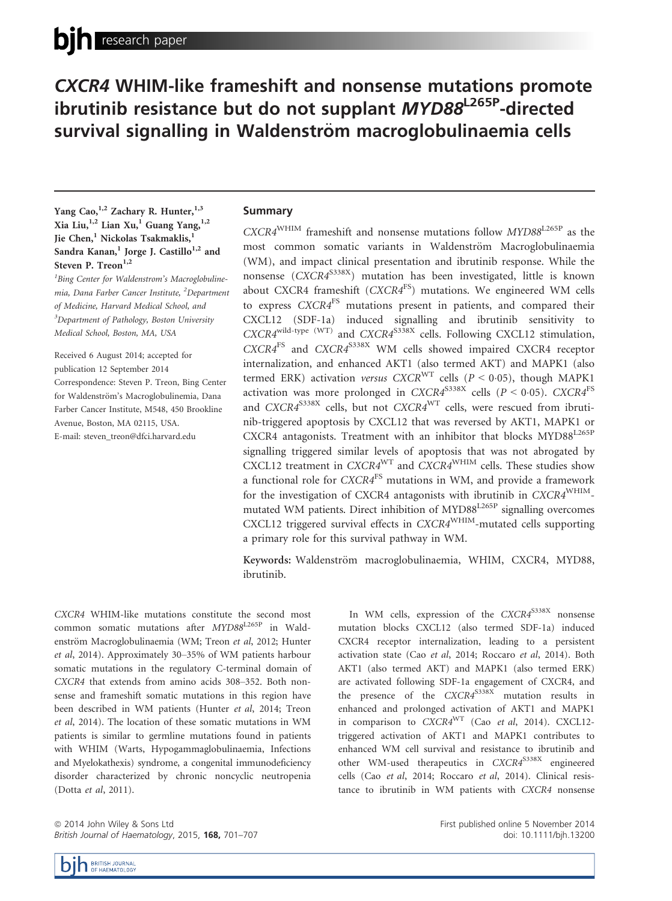# CXCR4 WHIM-like frameshift and nonsense mutations promote ibrutinib resistance but do not supplant MYD88<sup>L265P</sup>-directed survival signalling in Waldenström macroglobulinaemia cells

# Yang Cao,<sup>1,2</sup> Zachary R. Hunter,<sup>1,3</sup> Xia Liu,  $^{1,2}$  Lian Xu,<sup>1</sup> Guang Yang,  $^{1,2}$ Jie Chen,<sup>1</sup> Nickolas Tsakmaklis,<sup>1</sup> Sandra Kanan,<sup>1</sup> Jorge J. Castillo<sup>1,2</sup> and Steven P. Treon $^{1,2}$

<sup>1</sup>Bing Center for Waldenstrom's Macroglobulinemia, Dana Farber Cancer Institute, <sup>2</sup>Department of Medicine, Harvard Medical School, and <sup>3</sup>Department of Pathology, Boston University Medical School, Boston, MA, USA

Received 6 August 2014; accepted for publication 12 September 2014 Correspondence: Steven P. Treon, Bing Center for Waldenström's Macroglobulinemia, Dana Farber Cancer Institute, M548, 450 Brookline Avenue, Boston, MA 02115, USA. E-mail: steven\_treon@dfci.harvard.edu

## Summary

 $CXCR4^{WHIM}$  frameshift and nonsense mutations follow  $MYD88^{L265P}$  as the most common somatic variants in Waldenström Macroglobulinaemia (WM), and impact clinical presentation and ibrutinib response. While the nonsense  $(CXCR4^{5338X})$  mutation has been investigated, little is known about CXCR4 frameshift (CXCR4<sup>FS</sup>) mutations. We engineered WM cells to express CXCR4FS mutations present in patients, and compared their CXCL12 (SDF-1a) induced signalling and ibrutinib sensitivity to  $CXCRA^{width-type (WT)}$  and  $CXCRA^{S338X}$  cells. Following CXCL12 stimulation, CXCR4FS and CXCR4S338X WM cells showed impaired CXCR4 receptor internalization, and enhanced AKT1 (also termed AKT) and MAPK1 (also termed ERK) activation versus  $CXCR<sup>WT</sup>$  cells ( $P < 0.05$ ), though MAPK1 activation was more prolonged in  $CXCRA^{S338X}$  cells ( $P < 0.05$ ).  $CXCRA^{FS}$ and  $CXCRA^{S338X}$  cells, but not  $CXCRA^{WT}$  cells, were rescued from ibrutinib-triggered apoptosis by CXCL12 that was reversed by AKT1, MAPK1 or CXCR4 antagonists. Treatment with an inhibitor that blocks MYD88<sup>L265P</sup> signalling triggered similar levels of apoptosis that was not abrogated by CXCL12 treatment in  $CXCR4^{WT}$  and  $CXCR4^{WHIM}$  cells. These studies show a functional role for  $CXCRA<sup>FS</sup>$  mutations in WM, and provide a framework for the investigation of CXCR4 antagonists with ibrutinib in  $CXCR4^{\text{WHIM}}$ mutated WM patients. Direct inhibition of MYD88<sup>L265P</sup> signalling overcomes CXCL12 triggered survival effects in  $CXCR4^{WHIM}$ -mutated cells supporting a primary role for this survival pathway in WM.

Keywords: Waldenström macroglobulinaemia, WHIM, CXCR4, MYD88, ibrutinib.

CXCR4 WHIM-like mutations constitute the second most common somatic mutations after MYD88L265P in Waldenström Macroglobulinaemia (WM; Treon et al, 2012; Hunter et al, 2014). Approximately 30–35% of WM patients harbour somatic mutations in the regulatory C-terminal domain of CXCR4 that extends from amino acids 308–352. Both nonsense and frameshift somatic mutations in this region have been described in WM patients (Hunter et al, 2014; Treon et al, 2014). The location of these somatic mutations in WM patients is similar to germline mutations found in patients with WHIM (Warts, Hypogammaglobulinaemia, Infections and Myelokathexis) syndrome, a congenital immunodeficiency disorder characterized by chronic noncyclic neutropenia (Dotta et al, 2011).

ª 2014 John Wiley & Sons Ltd British Journal of Haematology, 2015, 168, 701-707

In WM cells, expression of the  $CXCRA^{S338X}$  nonsense mutation blocks CXCL12 (also termed SDF-1a) induced CXCR4 receptor internalization, leading to a persistent activation state (Cao et al, 2014; Roccaro et al, 2014). Both AKT1 (also termed AKT) and MAPK1 (also termed ERK) are activated following SDF-1a engagement of CXCR4, and the presence of the CXCR4<sup>S338X</sup> mutation results in enhanced and prolonged activation of AKT1 and MAPK1 in comparison to  $CXCRA^{WT}$  (Cao et al, 2014). CXCL12triggered activation of AKT1 and MAPK1 contributes to enhanced WM cell survival and resistance to ibrutinib and other WM-used therapeutics in CXCR4<sup>S338X</sup> engineered cells (Cao et al, 2014; Roccaro et al, 2014). Clinical resistance to ibrutinib in WM patients with CXCR4 nonsense

> First published online 5 November 2014 doi: 10.1111/bjh.13200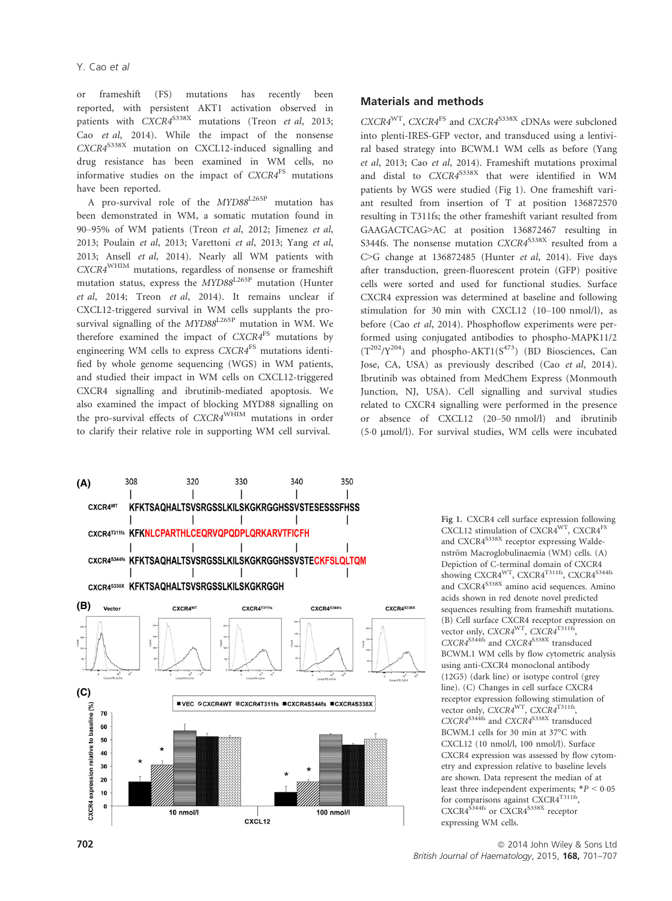or frameshift (FS) mutations has recently been reported, with persistent AKT1 activation observed in patients with  $CXCR4^{S338X}$  mutations (Treon *et al*, 2013; mutations (Treon et al, 2013; Cao et al, 2014). While the impact of the nonsense  $CXCRA^{S338X}$  mutation on CXCL12-induced signalling and drug resistance has been examined in WM cells, no informative studies on the impact of  $CXCRA<sup>FS</sup>$  mutations have been reported.

A pro-survival role of the MYD88L265P mutation has been demonstrated in WM, a somatic mutation found in 90–95% of WM patients (Treon et al, 2012; Jimenez et al, 2013; Poulain et al, 2013; Varettoni et al, 2013; Yang et al, 2013; Ansell et al, 2014). Nearly all WM patients with CXCR4WHIM mutations, regardless of nonsense or frameshift mutation status, express the MYD88<sup>L265P</sup> mutation (Hunter et al, 2014; Treon et al, 2014). It remains unclear if CXCL12-triggered survival in WM cells supplants the prosurvival signalling of the MYD88<sup>L265P</sup> mutation in WM. We therefore examined the impact of CXCR4<sup>FS</sup> mutations by engineering WM cells to express CXCR4<sup>FS</sup> mutations identified by whole genome sequencing (WGS) in WM patients, and studied their impact in WM cells on CXCL12-triggered CXCR4 signalling and ibrutinib-mediated apoptosis. We also examined the impact of blocking MYD88 signalling on the pro-survival effects of CXCR4WHIM mutations in order to clarify their relative role in supporting WM cell survival.



## Materials and methods

 $CXCRA^{WT}$ ,  $CXCRA^{FS}$  and  $CXCRA^{S338X}$  cDNAs were subcloned into plenti-IRES-GFP vector, and transduced using a lentiviral based strategy into BCWM.1 WM cells as before (Yang et al, 2013; Cao et al, 2014). Frameshift mutations proximal and distal to CXCR4<sup>S338X</sup> that were identified in WM patients by WGS were studied (Fig 1). One frameshift variant resulted from insertion of T at position 136872570 resulting in T311fs; the other frameshift variant resulted from GAAGACTCAG>AC at position 136872467 resulting in S344fs. The nonsense mutation CXCR4<sup>S338X</sup> resulted from a C>G change at 136872485 (Hunter et al, 2014). Five days after transduction, green-fluorescent protein (GFP) positive cells were sorted and used for functional studies. Surface CXCR4 expression was determined at baseline and following stimulation for 30 min with CXCL12 (10–100 nmol/l), as before (Cao et al, 2014). Phosphoflow experiments were performed using conjugated antibodies to phospho-MAPK11/2  $(T^{202}/Y^{204})$  and phospho-AKT1( $S^{473}$ ) (BD Biosciences, Can Jose, CA, USA) as previously described (Cao et al, 2014). Ibrutinib was obtained from MedChem Express (Monmouth Junction, NJ, USA). Cell signalling and survival studies related to CXCR4 signalling were performed in the presence or absence of CXCL12 (20–50 nmol/l) and ibrutinib (50 lmol/l). For survival studies, WM cells were incubated

> Fig 1. CXCR4 cell surface expression following CXCL12 stimulation of CXCR4<sup>WT</sup>, CXCR4<sup>FS</sup> and CXCR4<sup>S338X</sup> receptor expressing Waldenström Macroglobulinaemia (WM) cells. (A) Depiction of C-terminal domain of CXCR4 showing CXCR4<sup>WT</sup>, CXCR4<sup>T311fs</sup>, CXCR4<sup>S344fs</sup> and CXCR4<sup>S338X</sup> amino acid sequences. Amino acids shown in red denote novel predicted sequences resulting from frameshift mutations. (B) Cell surface CXCR4 receptor expression on vector only, CXCR4<sup>WT</sup>, CXCR4<sup>T311fs</sup>, CXCR4<sup>S344fs</sup> and CXCR4<sup>S338X</sup> transduced BCWM.1 WM cells by flow cytometric analysis using anti-CXCR4 monoclonal antibody (12G5) (dark line) or isotype control (grey line). (C) Changes in cell surface CXCR4 receptor expression following stimulation of vector only, CXCR4<sup>WT</sup>, CXCR4<sup>T311fs</sup>, CXCR4<sup>S344fs</sup> and CXCR4<sup>S338X</sup> transduced BCWM.1 cells for 30 min at 37°C with CXCL12 (10 nmol/l, 100 nmol/l). Surface CXCR4 expression was assessed by flow cytometry and expression relative to baseline levels are shown. Data represent the median of at least three independent experiments;  $*P < 0.05$ for comparisons against CXCR4<sup>T311fs</sup> CXCR4<sup>S344fs</sup> or CXCR4<sup>S338X</sup> receptor expressing WM cells.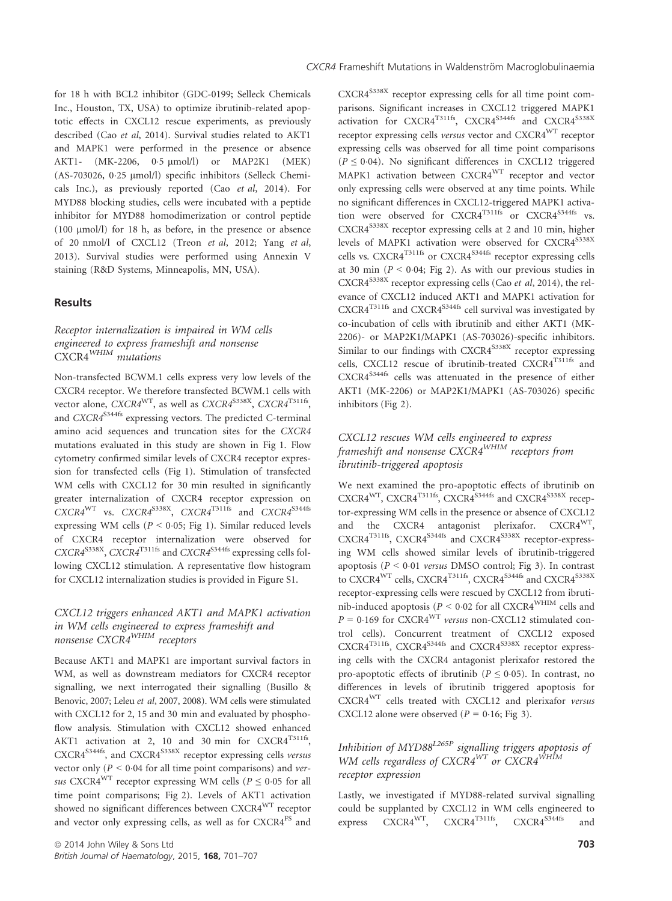for 18 h with BCL2 inhibitor (GDC-0199; Selleck Chemicals Inc., Houston, TX, USA) to optimize ibrutinib-related apoptotic effects in CXCL12 rescue experiments, as previously described (Cao et al, 2014). Survival studies related to AKT1 and MAPK1 were performed in the presence or absence AKT1- (MK-2206, 0.5 µmol/l) or MAP2K1 (MEK) (AS-703026, 0.25 µmol/l) specific inhibitors (Selleck Chemicals Inc.), as previously reported (Cao et al, 2014). For MYD88 blocking studies, cells were incubated with a peptide inhibitor for MYD88 homodimerization or control peptide (100 µmol/l) for 18 h, as before, in the presence or absence of 20 nmol/l of CXCL12 (Treon et al, 2012; Yang et al, 2013). Survival studies were performed using Annexin V staining (R&D Systems, Minneapolis, MN, USA).

## Results

## Receptor internalization is impaired in WM cells engineered to express frameshift and nonsense CXCR4<sup>WHIM</sup> mutations

Non-transfected BCWM.1 cells express very low levels of the CXCR4 receptor. We therefore transfected BCWM.1 cells with vector alone,  $CXCRA^{WT}$ , as well as  $CXCRA^{S338X}$ ,  $CXCRA^{T311fs}$ , and  $CXCR4^{S344fs}$  expressing vectors. The predicted C-terminal amino acid sequences and truncation sites for the CXCR4 mutations evaluated in this study are shown in Fig 1. Flow cytometry confirmed similar levels of CXCR4 receptor expression for transfected cells (Fig 1). Stimulation of transfected WM cells with CXCL12 for 30 min resulted in significantly greater internalization of CXCR4 receptor expression on  $CXCRA^{WT}$  vs.  $CXCRA^{S338X}$ ,  $CXCRA^{T311fs}$  and  $CXCRA^{S344fs}$ expressing WM cells ( $P < 0.05$ ; Fig 1). Similar reduced levels of CXCR4 receptor internalization were observed for CXCR4<sup>S338X</sup>, CXCR4<sup>T311fs</sup> and CXCR4<sup>S344fs</sup> expressing cells following CXCL12 stimulation. A representative flow histogram for CXCL12 internalization studies is provided in Figure S1.

## CXCL12 triggers enhanced AKT1 and MAPK1 activation in WM cells engineered to express frameshift and nonsense CXCR4WHIM receptors

Because AKT1 and MAPK1 are important survival factors in WM, as well as downstream mediators for CXCR4 receptor signalling, we next interrogated their signalling (Busillo & Benovic, 2007; Leleu et al, 2007, 2008). WM cells were stimulated with CXCL12 for 2, 15 and 30 min and evaluated by phosphoflow analysis. Stimulation with CXCL12 showed enhanced AKT1 activation at 2, 10 and 30 min for CXCR4<sup>T311fs</sup>, CXCR4<sup>S344fs</sup>, and CXCR4<sup>S338X</sup> receptor expressing cells versus vector only ( $P < 0.04$  for all time point comparisons) and versus CXCR4<sup>WT</sup> receptor expressing WM cells ( $P \le 0.05$  for all time point comparisons; Fig 2). Levels of AKT1 activation showed no significant differences between CXCR4WT receptor and vector only expressing cells, as well as for CXCR4<sup>FS</sup> and CXCR4S338X receptor expressing cells for all time point comparisons. Significant increases in CXCL12 triggered MAPK1  $\alpha$ ctivation for CXCR4<sup>T311fs</sup>, CXCR4<sup>S3344fs</sup> and CXCR4<sup>S338X</sup> receptor expressing cells versus vector and CXCR4WT receptor expressing cells was observed for all time point comparisons  $(P \le 0.04)$ . No significant differences in CXCL12 triggered MAPK1 activation between CXCR4WT receptor and vector only expressing cells were observed at any time points. While no significant differences in CXCL12-triggered MAPK1 activation were observed for CXCR4T311fs or CXCR4S344fs vs. CXCR4S338X receptor expressing cells at 2 and 10 min, higher levels of MAPK1 activation were observed for CXCR4<sup>S338X</sup> cells vs.  $CXCRA^{T311fs}$  or  $CXCRA^{S344fs}$  receptor expressing cells at 30 min ( $P < 0.04$ ; Fig 2). As with our previous studies in  $CXCRA<sup>5338X</sup>$  receptor expressing cells (Cao *et al*, 2014), the relevance of CXCL12 induced AKT1 and MAPK1 activation for CXCR4<sup>T311fs</sup> and CXCR4<sup>S344fs</sup> cell survival was investigated by co-incubation of cells with ibrutinib and either AKT1 (MK-2206)- or MAP2K1/MAPK1 (AS-703026)-specific inhibitors. Similar to our findings with CXCR4<sup>S338X</sup> receptor expressing cells, CXCL12 rescue of ibrutinib-treated CXCR4<sup>T311fs</sup> and CXCR4<sup>S344fs</sup> cells was attenuated in the presence of either AKT1 (MK-2206) or MAP2K1/MAPK1 (AS-703026) specific inhibitors (Fig 2).

# CXCL12 rescues WM cells engineered to express frameshift and nonsense CXCR4WHIM receptors from ibrutinib-triggered apoptosis

We next examined the pro-apoptotic effects of ibrutinib on  $CXCR4^{WT}$ ,  $CXCR4^{T311fs}$ ,  $CXCR4^{S344fs}$  and  $CXCR4^{S338X}$  receptor-expressing WM cells in the presence or absence of CXCL12 and the CXCR4 antagonist plerixafor. CXCR4WT, CXCR4<sup>T311fs</sup>, CXCR4<sup>S344fs</sup> and CXCR4<sup>S338X</sup> receptor-expressing WM cells showed similar levels of ibrutinib-triggered apoptosis ( $P < 0.01$  versus DMSO control; Fig 3). In contrast to CXCR4<sup>WT</sup> cells, CXCR4<sup>T311fs</sup>, CXCR4<sup>S344fs</sup> and CXCR4<sup>S338X</sup> receptor-expressing cells were rescued by CXCL12 from ibrutinib-induced apoptosis ( $P < 0.02$  for all CXCR4<sup>WHIM</sup> cells and  $P = 0.169$  for CXCR4<sup>WT</sup> versus non-CXCL12 stimulated control cells). Concurrent treatment of CXCL12 exposed CXCR4<sup>T311fs</sup>, CXCR4<sup>S344fs</sup> and CXCR4<sup>S338X</sup> receptor expressing cells with the CXCR4 antagonist plerixafor restored the pro-apoptotic effects of ibrutinib ( $P \le 0.05$ ). In contrast, no differences in levels of ibrutinib triggered apoptosis for CXCR4WT cells treated with CXCL12 and plerixafor versus CXCL12 alone were observed ( $P = 0.16$ ; Fig 3).

# Inhibition of MYD88<sup>L265P</sup> signalling triggers apoptosis of WM cells regardless of CXCR4<sup>WT</sup> or CXCR4<sup>WHIM</sup> receptor expression

Lastly, we investigated if MYD88-related survival signalling could be supplanted by CXCL12 in WM cells engineered to express  $\widehat{C}XCR4^{WT}$ ,  $\widehat{C}XCR4^{T311fs}$ ,  $\widehat{C}XCR4^{S344fs}$  and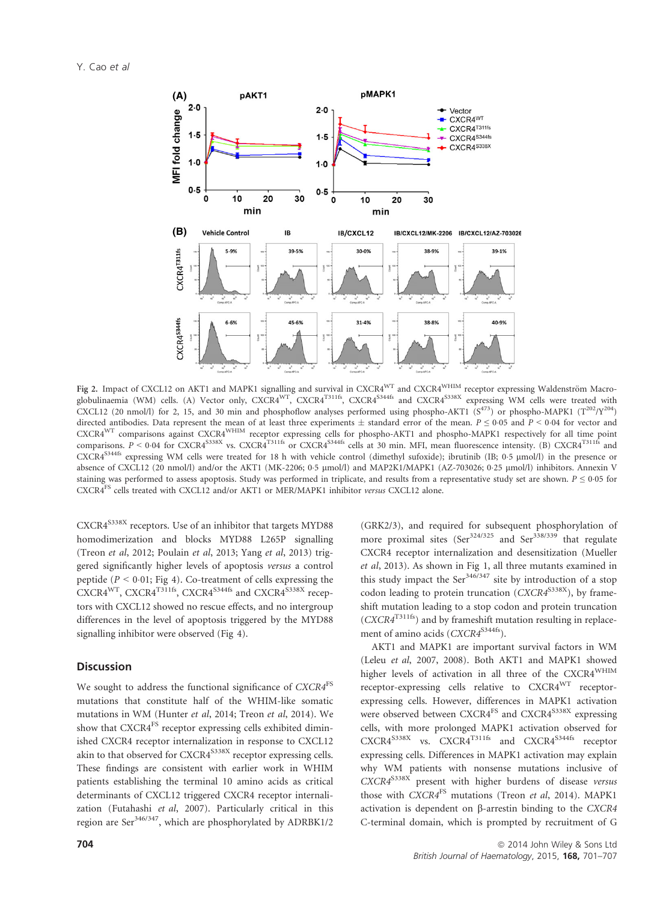

Fig 2. Impact of CXCL12 on AKT1 and MAPK1 signalling and survival in CXCR4<sup>WT</sup> and CXCR4<sup>WHIM</sup> receptor expressing Waldenström Macroglobulinaemia (WM) cells. (A) Vector only, CXCR4<sup>WT</sup>, CXCR4<sup>T311fs</sup>, CXCR4<sup>S344fs</sup> and CXCR4<sup>S338X</sup> expressing WM cells were treated with CXCL12 (20 nmol/l) for 2, 15, and 30 min and phosphoflow analyses performed using phospho-AKT1 ( $S^{473}$ ) or phospho-MAPK1 ( $T^{202}/Y^{204}$ ) directed antibodies. Data represent the mean of at least three experiments  $\pm$  standard error of the mean.  $P \le 0.05$  and  $P \le 0.04$  for vector and CXCR4WT comparisons against CXCR4WHIM receptor expressing cells for phospho-AKT1 and phospho-MAPK1 respectively for all time point comparisons.  $P < 0.04$  for CXCR4<sup>S338X</sup> vs. CXCR4<sup>T311fs</sup> or CXCR4<sup>S344fs</sup> cells at 30 min. MFI, mean fluorescence intensity. (B) CXCR4<sup>T311fs</sup> and CXCR4S344fs expressing WM cells were treated for 18 h with vehicle control (dimethyl sufoxide); ibrutinib (IB; 0<sup>5</sup> <sup>l</sup>mol/l) in the presence or absence of CXCL12 (20 nmol/l) and/or the AKT1 (MK-2206; 0.5 µmol/l) and MAP2K1/MAPK1 (AZ-703026; 0.25 µmol/l) inhibitors. Annexin V staining was performed to assess apoptosis. Study was performed in triplicate, and results from a representative study set are shown.  $P \le 0.05$  for CXCR4FS cells treated with CXCL12 and/or AKT1 or MER/MAPK1 inhibitor versus CXCL12 alone.

CXCR4<sup>S338X</sup> receptors. Use of an inhibitor that targets MYD88 homodimerization and blocks MYD88 L265P signalling (Treon et al, 2012; Poulain et al, 2013; Yang et al, 2013) triggered significantly higher levels of apoptosis versus a control peptide ( $P < 0.01$ ; Fig 4). Co-treatment of cells expressing the CXCR4<sup>WT</sup>, CXCR4<sup>T311fs</sup>, CXCR4<sup>S344fs</sup> and CXCR4<sup>S338X</sup> receptors with CXCL12 showed no rescue effects, and no intergroup differences in the level of apoptosis triggered by the MYD88 signalling inhibitor were observed (Fig 4).

## **Discussion**

We sought to address the functional significance of CXCR4<sup>FS</sup> mutations that constitute half of the WHIM-like somatic mutations in WM (Hunter et al, 2014; Treon et al, 2014). We show that CXCR4<sup>FS</sup> receptor expressing cells exhibited diminished CXCR4 receptor internalization in response to CXCL12 akin to that observed for  $CXCRA^{S338X}$  receptor expressing cells. These findings are consistent with earlier work in WHIM patients establishing the terminal 10 amino acids as critical determinants of CXCL12 triggered CXCR4 receptor internalization (Futahashi et al, 2007). Particularly critical in this region are Ser<sup>346/347</sup>, which are phosphorylated by ADRBK1/2

(GRK2/3), and required for subsequent phosphorylation of more proximal sites  $(Ser^{324/325}$  and  $Ser^{338/339}$  that regulate CXCR4 receptor internalization and desensitization (Mueller et al, 2013). As shown in Fig 1, all three mutants examined in this study impact the Ser $346/347$  site by introduction of a stop codon leading to protein truncation ( $CXCRA^{S338X}$ ), by frameshift mutation leading to a stop codon and protein truncation  $(CXCR4^{T311fs})$  and by frameshift mutation resulting in replacement of amino acids  $(CXCR4^{S344fs})$ .

AKT1 and MAPK1 are important survival factors in WM (Leleu et al, 2007, 2008). Both AKT1 and MAPK1 showed higher levels of activation in all three of the CXCR4WHIM receptor-expressing cells relative to CXCR4WT receptorexpressing cells. However, differences in MAPK1 activation were observed between CXCR4<sup>FS</sup> and CXCR4<sup>S338X</sup> expressing cells, with more prolonged MAPK1 activation observed for CXCR4<sup>S338X</sup> vs. CXCR4<sup>T311fs</sup> and CXCR4<sup>S344fs</sup> receptor expressing cells. Differences in MAPK1 activation may explain why WM patients with nonsense mutations inclusive of  $\overbrace{CXCR4}^{S338X}$  present with higher burdens of disease versus those with CXCR4<sup>FS</sup> mutations (Treon et al, 2014). MAPK1 activation is dependent on  $\beta$ -arrestin binding to the CXCR4 C-terminal domain, which is prompted by recruitment of G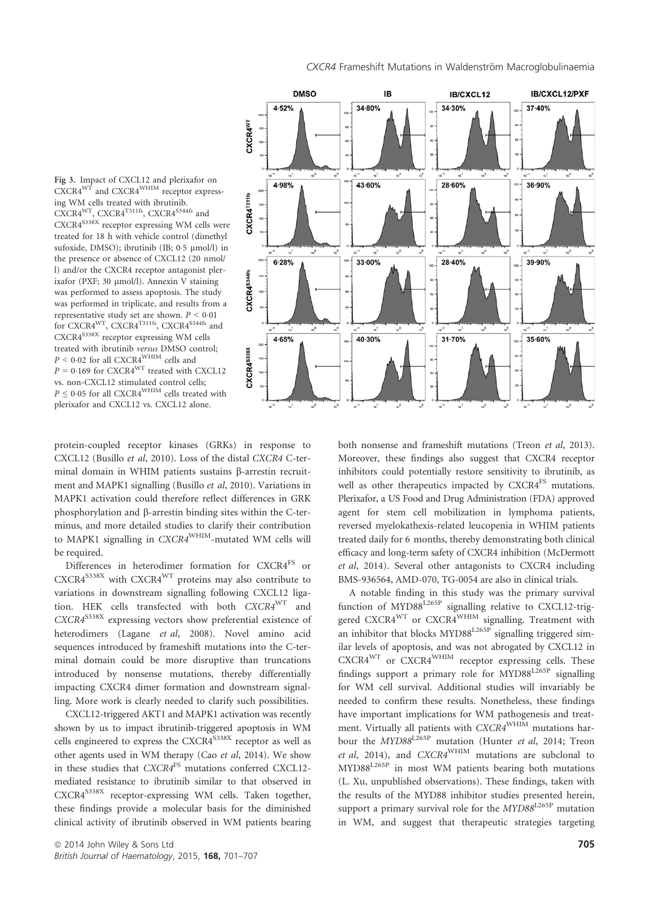Fig 3. Impact of CXCL12 and plerixafor on  $CXCRA^{WT}$  and  $CXCRA^{WHIM}$  receptor expressing WM cells treated with ibrutinib.  $CXCRA<sup>WT</sup>$ ,  $CXCRA<sup>T311fs</sup>$ ,  $CXCRA<sup>S344fs</sup>$  and CXCR4<sup>S338X</sup> receptor expressing WM cells were treated for 18 h with vehicle control (dimethyl sufoxide, DMSO); ibrutinib (IB;  $0.5 \text{ \mu}$ mol/l) in the presence or absence of CXCL12 (20 nmol/ l) and/or the CXCR4 receptor antagonist plerixafor (PXF; 30 µmol/l). Annexin V staining was performed to assess apoptosis. The study was performed in triplicate, and results from a representative study set are shown.  $P < 0.01$ for CXCR4<sup>WT</sup>, CXCR4<sup>T311fs</sup>, CXCR4<sup>S344fs</sup> and CXCR4S338X receptor expressing WM cells treated with ibrutinib versus DMSO control;  $P < 0.02$  for all CXCR4  $\rm{WHIM}$  cells and  $P = 0.169$  for CXCR4<sup>WT</sup> treated with CXCL12 vs. non-CXCL12 stimulated control cells;  $P \leq 0.05$  for all CXCR4<sup>WHIM</sup> cells treated with plerixafor and CXCL12 vs. CXCL12 alone.



protein-coupled receptor kinases (GRKs) in response to CXCL12 (Busillo et al, 2010). Loss of the distal CXCR4 C-terminal domain in WHIM patients sustains  $\beta$ -arrestin recruitment and MAPK1 signalling (Busillo et al, 2010). Variations in MAPK1 activation could therefore reflect differences in GRK phosphorylation and  $\beta$ -arrestin binding sites within the C-terminus, and more detailed studies to clarify their contribution to MAPK1 signalling in CXCR4<sup>WHIM</sup>-mutated WM cells will be required.

Differences in heterodimer formation for CXCR4FS or  $CXCR4^{S338X}$  with  $CXCR4^{WT}$  proteins may also contribute to variations in downstream signalling following CXCL12 ligation. HEK cells transfected with both CXCR4WT and  $CXCR4^{S338X}$  expressing vectors show preferential existence of heterodimers (Lagane et al, 2008). Novel amino acid sequences introduced by frameshift mutations into the C-terminal domain could be more disruptive than truncations introduced by nonsense mutations, thereby differentially impacting CXCR4 dimer formation and downstream signalling. More work is clearly needed to clarify such possibilities.

CXCL12-triggered AKT1 and MAPK1 activation was recently shown by us to impact ibrutinib-triggered apoptosis in WM cells engineered to express the CXCR4<sup>S338X</sup> receptor as well as other agents used in WM therapy (Cao et al, 2014). We show in these studies that CXCR4<sup>FS</sup> mutations conferred CXCL12mediated resistance to ibrutinib similar to that observed in CXCR4<sup>S338X</sup> receptor-expressing WM cells. Taken together, these findings provide a molecular basis for the diminished clinical activity of ibrutinib observed in WM patients bearing both nonsense and frameshift mutations (Treon et al, 2013). Moreover, these findings also suggest that CXCR4 receptor inhibitors could potentially restore sensitivity to ibrutinib, as well as other therapeutics impacted by CXCR4<sup>FS</sup> mutations. Plerixafor, a US Food and Drug Administration (FDA) approved agent for stem cell mobilization in lymphoma patients, reversed myelokathexis-related leucopenia in WHIM patients treated daily for 6 months, thereby demonstrating both clinical efficacy and long-term safety of CXCR4 inhibition (McDermott et al, 2014). Several other antagonists to CXCR4 including BMS-936564, AMD-070, TG-0054 are also in clinical trials.

A notable finding in this study was the primary survival function of MYD88<sup>L265P</sup> signalling relative to CXCL12-triggered CXCR4<sup>WT</sup> or CXCR4<sup>WHIM</sup> signalling. Treatment with an inhibitor that blocks  $MYD88^{L265P}$  signalling triggered similar levels of apoptosis, and was not abrogated by CXCL12 in CXCR4WT or CXCR4WHIM receptor expressing cells. These findings support a primary role for MYD88L265P signalling for WM cell survival. Additional studies will invariably be needed to confirm these results. Nonetheless, these findings have important implications for WM pathogenesis and treatment. Virtually all patients with CXCR4<sup>WHIM</sup> mutations harbour the MYD88<sup>L265P</sup> mutation (Hunter et al, 2014; Treon et al, 2014), and  $CXCRA^{WHIM}$  mutations are subclonal to MYD88L265P in most WM patients bearing both mutations (L. Xu, unpublished observations). These findings, taken with the results of the MYD88 inhibitor studies presented herein, support a primary survival role for the  $MYD88^{L265P}$  mutation in WM, and suggest that therapeutic strategies targeting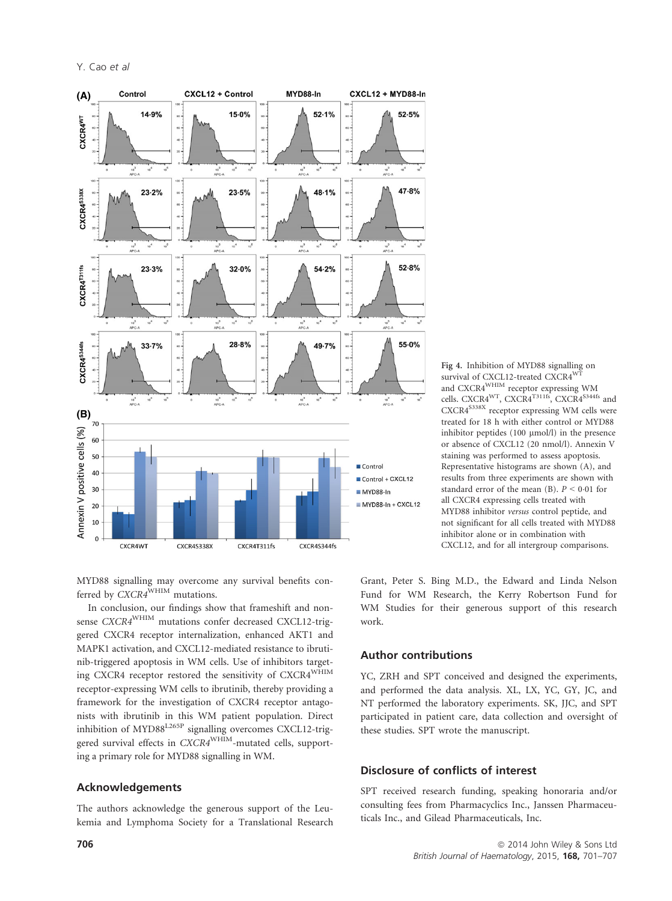Y. Cao et al



Fig 4. Inhibition of MYD88 signalling on survival of CXCL12-treated CXCR4<sup>WT</sup> and CXCR4<sup>WHIM</sup> receptor expressing WM cells. CXCR4<sup>WT</sup>, CXCR4<sup>T311fs</sup>, CXCR4<sup>S344fs</sup> and CXCR4<sup>S338X</sup> receptor expressing WM cells were treated for 18 h with either control or MYD88 inhibitor peptides  $(100 \mu mol/l)$  in the presence or absence of CXCL12 (20 nmol/l). Annexin V staining was performed to assess apoptosis. Representative histograms are shown (A), and results from three experiments are shown with standard error of the mean (B).  $P \le 0.01$  for all CXCR4 expressing cells treated with MYD88 inhibitor versus control peptide, and not significant for all cells treated with MYD88 inhibitor alone or in combination with CXCL12, and for all intergroup comparisons.

MYD88 signalling may overcome any survival benefits conferred by  $\overline{C}X\overline{C}R4^{\text{WHIM}}$  mutations.

In conclusion, our findings show that frameshift and nonsense CXCR4<sup>WHIM</sup> mutations confer decreased CXCL12-triggered CXCR4 receptor internalization, enhanced AKT1 and MAPK1 activation, and CXCL12-mediated resistance to ibrutinib-triggered apoptosis in WM cells. Use of inhibitors targeting CXCR4 receptor restored the sensitivity of CXCR4WHIM receptor-expressing WM cells to ibrutinib, thereby providing a framework for the investigation of CXCR4 receptor antagonists with ibrutinib in this WM patient population. Direct inhibition of MYD88<sup>L265P</sup> signalling overcomes CXCL12-triggered survival effects in CXCR4<sup>WHIM</sup>-mutated cells, supporting a primary role for MYD88 signalling in WM.

#### Acknowledgements

The authors acknowledge the generous support of the Leukemia and Lymphoma Society for a Translational Research Grant, Peter S. Bing M.D., the Edward and Linda Nelson Fund for WM Research, the Kerry Robertson Fund for WM Studies for their generous support of this research work.

# Author contributions

YC, ZRH and SPT conceived and designed the experiments, and performed the data analysis. XL, LX, YC, GY, JC, and NT performed the laboratory experiments. SK, JJC, and SPT participated in patient care, data collection and oversight of these studies. SPT wrote the manuscript.

# Disclosure of conflicts of interest

SPT received research funding, speaking honoraria and/or consulting fees from Pharmacyclics Inc., Janssen Pharmaceuticals Inc., and Gilead Pharmaceuticals, Inc.